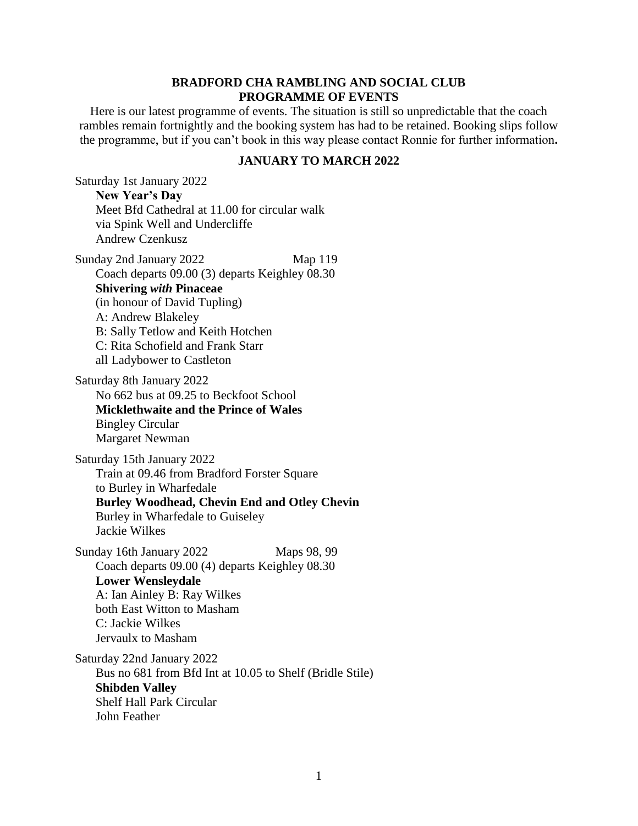## **BRADFORD CHA RAMBLING AND SOCIAL CLUB PROGRAMME OF EVENTS**

Here is our latest programme of events. The situation is still so unpredictable that the coach rambles remain fortnightly and the booking system has had to be retained. Booking slips follow the programme, but if you can't book in this way please contact Ronnie for further information**.**

## **JANUARY TO MARCH 2022**

Saturday 1st January 2022 **New Year's Day** Meet Bfd Cathedral at 11.00 for circular walk via Spink Well and Undercliffe Andrew Czenkusz

Sunday 2nd January 2022 Map 119 Coach departs 09.00 (3) departs Keighley 08.30 **Shivering** *with* **Pinaceae** (in honour of David Tupling) A: Andrew Blakeley B: Sally Tetlow and Keith Hotchen C: Rita Schofield and Frank Starr all Ladybower to Castleton

Saturday 8th January 2022 No 662 bus at 09.25 to Beckfoot School **Micklethwaite and the Prince of Wales** Bingley Circular Margaret Newman

Saturday 15th January 2022 Train at 09.46 from Bradford Forster Square to Burley in Wharfedale **Burley Woodhead, Chevin End and Otley Chevin** Burley in Wharfedale to Guiseley Jackie Wilkes

Sunday 16th January 2022 Maps 98, 99 Coach departs 09.00 (4) departs Keighley 08.30 **Lower Wensleydale** A: Ian Ainley B: Ray Wilkes both East Witton to Masham C: Jackie Wilkes Jervaulx to Masham

Saturday 22nd January 2022 Bus no 681 from Bfd Int at 10.05 to Shelf (Bridle Stile) **Shibden Valley** Shelf Hall Park Circular John Feather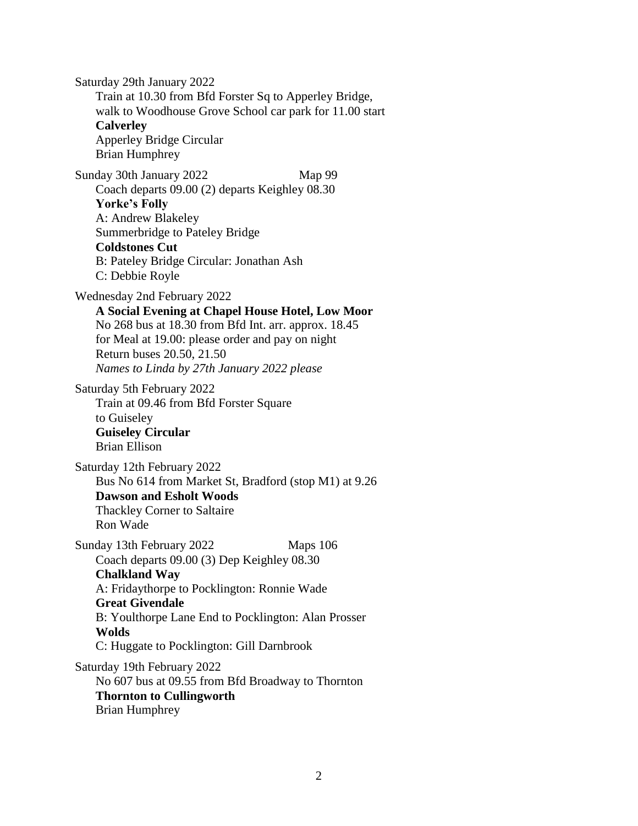Saturday 29th January 2022 Train at 10.30 from Bfd Forster Sq to Apperley Bridge, walk to Woodhouse Grove School car park for 11.00 start **Calverley** Apperley Bridge Circular Brian Humphrey Sunday 30th January 2022 Map 99 Coach departs 09.00 (2) departs Keighley 08.30 **Yorke's Folly** A: Andrew Blakeley Summerbridge to Pateley Bridge **Coldstones Cut** B: Pateley Bridge Circular: Jonathan Ash C: Debbie Royle Wednesday 2nd February 2022 **A Social Evening at Chapel House Hotel, Low Moor** No 268 bus at 18.30 from Bfd Int. arr. approx. 18.45 for Meal at 19.00: please order and pay on night Return buses 20.50, 21.50 *Names to Linda by 27th January 2022 please* Saturday 5th February 2022 Train at 09.46 from Bfd Forster Square to Guiseley **Guiseley Circular** Brian Ellison Saturday 12th February 2022 Bus No 614 from Market St, Bradford (stop M1) at 9.26 **Dawson and Esholt Woods** Thackley Corner to Saltaire Ron Wade Sunday 13th February 2022 Maps 106 Coach departs 09.00 (3) Dep Keighley 08.30 **Chalkland Way** A: Fridaythorpe to Pocklington: Ronnie Wade **Great Givendale** B: Youlthorpe Lane End to Pocklington: Alan Prosser **Wolds** C: Huggate to Pocklington: Gill Darnbrook Saturday 19th February 2022 No 607 bus at 09.55 from Bfd Broadway to Thornton **Thornton to Cullingworth** Brian Humphrey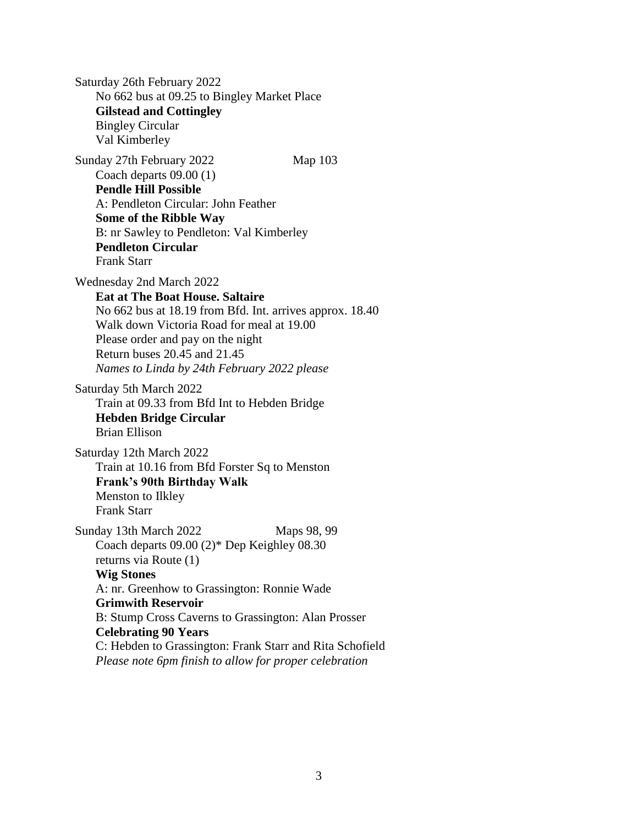Saturday 26th February 2022 No 662 bus at 09.25 to Bingley Market Place **Gilstead and Cottingley** Bingley Circular Val Kimberley Sunday 27th February 2022 Map 103 Coach departs 09.00 (1) **Pendle Hill Possible** A: Pendleton Circular: John Feather **Some of the Ribble Way** B: nr Sawley to Pendleton: Val Kimberley **Pendleton Circular** Frank Starr Wednesday 2nd March 2022 **Eat at The Boat House. Saltaire** No 662 bus at 18.19 from Bfd. Int. arrives approx. 18.40 Walk down Victoria Road for meal at 19.00 Please order and pay on the night Return buses 20.45 and 21.45 *Names to Linda by 24th February 2022 please* Saturday 5th March 2022 Train at 09.33 from Bfd Int to Hebden Bridge **Hebden Bridge Circular** Brian Ellison Saturday 12th March 2022 Train at 10.16 from Bfd Forster Sq to Menston **Frank's 90th Birthday Walk** Menston to Ilkley Frank Starr Sunday 13th March 2022 Maps 98, 99 Coach departs 09.00 (2)\* Dep Keighley 08.30 returns via Route (1) **Wig Stones** A: nr. Greenhow to Grassington: Ronnie Wade **Grimwith Reservoir** B: Stump Cross Caverns to Grassington: Alan Prosser **Celebrating 90 Years** C: Hebden to Grassington: Frank Starr and Rita Schofield *Please note 6pm finish to allow for proper celebration*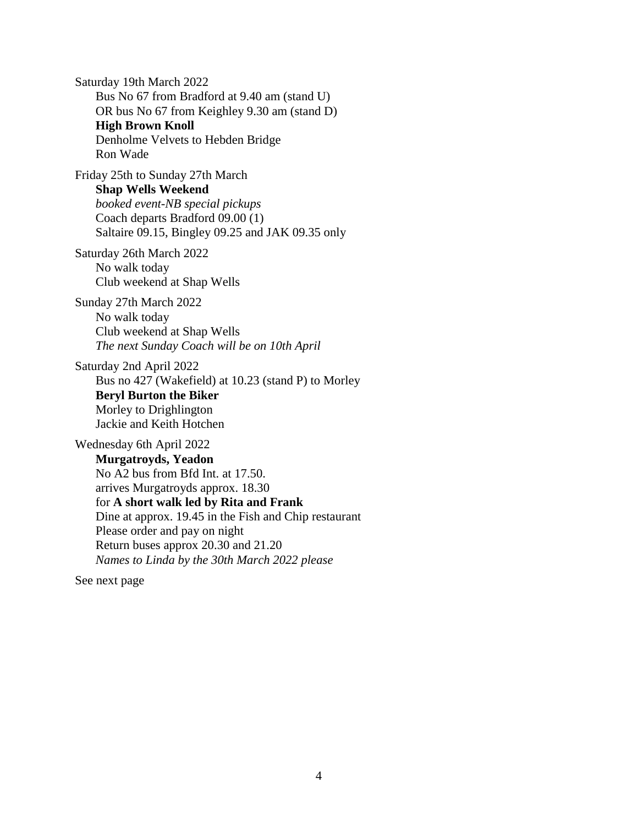Saturday 19th March 2022 Bus No 67 from Bradford at 9.40 am (stand U) OR bus No 67 from Keighley 9.30 am (stand D) **High Brown Knoll** Denholme Velvets to Hebden Bridge Ron Wade Friday 25th to Sunday 27th March **Shap Wells Weekend**

*booked event-NB special pickups* Coach departs Bradford 09.00 (1) Saltaire 09.15, Bingley 09.25 and JAK 09.35 only

Saturday 26th March 2022 No walk today Club weekend at Shap Wells

Sunday 27th March 2022 No walk today Club weekend at Shap Wells *The next Sunday Coach will be on 10th April*

Saturday 2nd April 2022 Bus no 427 (Wakefield) at 10.23 (stand P) to Morley **Beryl Burton the Biker** Morley to Drighlington Jackie and Keith Hotchen

Wednesday 6th April 2022 **Murgatroyds, Yeadon** No A2 bus from Bfd Int. at 17.50. arrives Murgatroyds approx. 18.30 for **A short walk led by Rita and Frank** Dine at approx. 19.45 in the Fish and Chip restaurant Please order and pay on night Return buses approx 20.30 and 21.20 *Names to Linda by the 30th March 2022 please*

See next page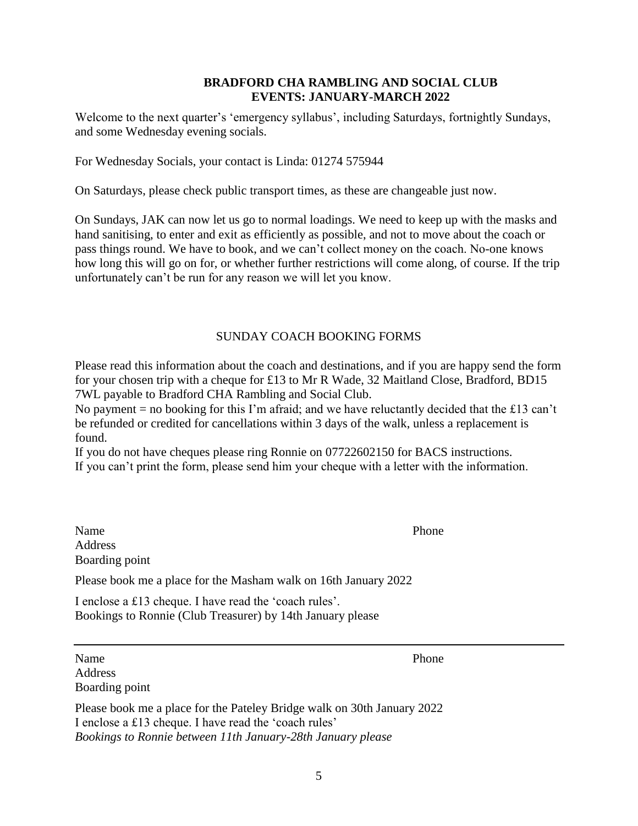## **BRADFORD CHA RAMBLING AND SOCIAL CLUB EVENTS: JANUARY-MARCH 2022**

Welcome to the next quarter's 'emergency syllabus', including Saturdays, fortnightly Sundays, and some Wednesday evening socials.

For Wednesday Socials, your contact is Linda: 01274 575944

On Saturdays, please check public transport times, as these are changeable just now.

On Sundays, JAK can now let us go to normal loadings. We need to keep up with the masks and hand sanitising, to enter and exit as efficiently as possible, and not to move about the coach or pass things round. We have to book, and we can't collect money on the coach. No-one knows how long this will go on for, or whether further restrictions will come along, of course. If the trip unfortunately can't be run for any reason we will let you know.

## SUNDAY COACH BOOKING FORMS

Please read this information about the coach and destinations, and if you are happy send the form for your chosen trip with a cheque for £13 to Mr R Wade, 32 Maitland Close, Bradford, BD15 7WL payable to Bradford CHA Rambling and Social Club.

No payment = no booking for this I'm afraid; and we have reluctantly decided that the £13 can't be refunded or credited for cancellations within 3 days of the walk, unless a replacement is found.

If you do not have cheques please ring Ronnie on 07722602150 for BACS instructions. If you can't print the form, please send him your cheque with a letter with the information.

Name Phone Address Boarding point

Please book me a place for the Masham walk on 16th January 2022

I enclose a £13 cheque. I have read the 'coach rules'. Bookings to Ronnie (Club Treasurer) by 14th January please

Name Phone Address Boarding point

Please book me a place for the Pateley Bridge walk on 30th January 2022 I enclose a £13 cheque. I have read the 'coach rules' *Bookings to Ronnie between 11th January-28th January please*